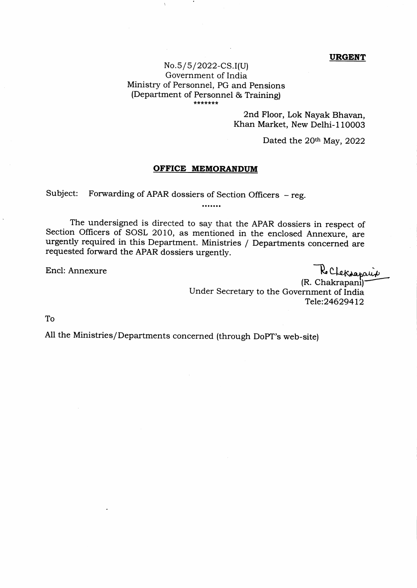## URGENT

## $No.5/5/2022-CS.I(U)$ Government of India Ministry of Personnel, PG and Pensions (Department of Personnel & Training)

2nd Floor, Lok Nayak Bhavan, Khan Market, New Delhi-110003

Dated the 20th May, 2022

## OFFICE MEMORANDUM

Subject: Forwarding of APAR dossiers of Section Officers – reg.<br>.......

 $\chi$ 

The undersigned is directed to say that the APAR dossiers in respect of Section Officers of SOSL 2010, as mentioned in the enclosed Annexure, are urgently required in this Department. Ministries / Departments concerned are requested forward the APAR dossiers urgently.

Encl: Annexure -R

(R. Chakrapani)<sup>.</sup> Under Secretary to the Government of India Tele:24629+12

To

All the Ministries/Departments concerned (through DoPT's web-site)